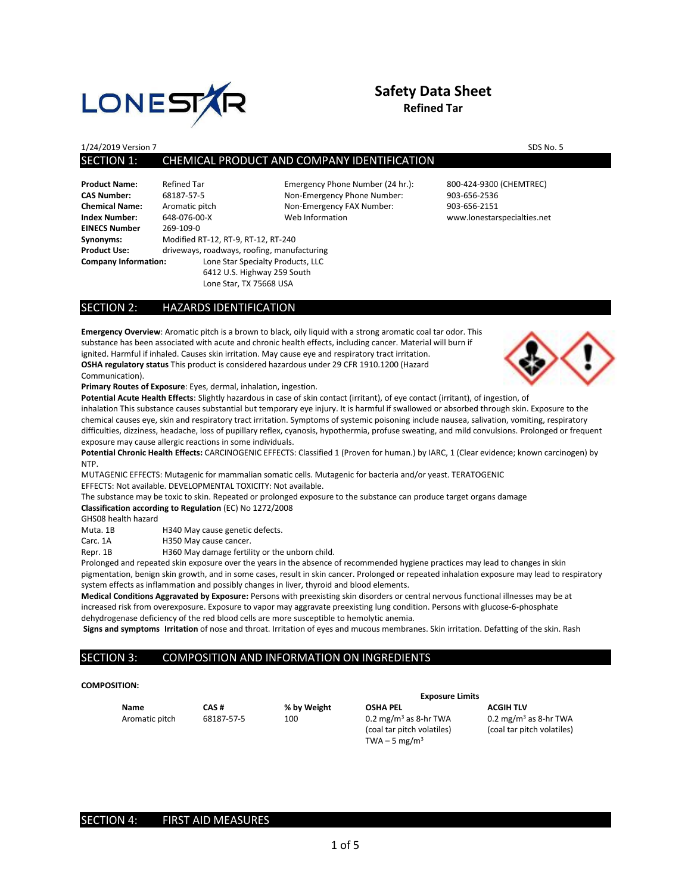

## **Safety Data Sheet Refined Tar**

1/24/2019 Version 7 SDS No. 5

## SECTION 1: CHEMICAL PRODUCT AND COMPANY IDENTIFICATION

| <b>Product Name:</b>        | Refined Tar        |
|-----------------------------|--------------------|
| <b>CAS Number:</b>          | 68187-57-5         |
| <b>Chemical Name:</b>       | Aromatic pit       |
| <b>Index Number:</b>        | 648-076-00-        |
| <b>EINECS Number</b>        | 269-109-0          |
| Synonyms:                   | <b>Modified RT</b> |
| <b>Product Use:</b>         | driveways, r       |
| <b>Company Information:</b> |                    |
|                             |                    |

**Chemical Name:** Aromatic pitch Non-Emergency FAX Number: 903-656-2151 **Index Number:** 648-076-00-X Web Information www.lonestarspecialties.net **Synonyms:** Modified RT-12, RT-9, RT-12, RT-240 **Product Use:** driveways, roadways, roofing, manufacturing **Come Star Specialty Products, LLC** 6412 U.S. Highway 259 South Lone Star, TX 75668 USA

Emergency Phone Number (24 hr.): 800-424-9300 (CHEMTREC) Non-Emergency Phone Number: 903-656-2536

#### SECTION 2: HAZARDS IDENTIFICATION

**Emergency Overview**: Aromatic pitch is a brown to black, oily liquid with a strong aromatic coal tar odor. This substance has been associated with acute and chronic health effects, including cancer. Material will burn if ignited. Harmful if inhaled. Causes skin irritation. May cause eye and respiratory tract irritation. **OSHA regulatory status** This product is considered hazardous under 29 CFR 1910.1200 (Hazard Communication).



**Primary Routes of Exposure**: Eyes, dermal, inhalation, ingestion.

**Potential Acute Health Effects**: Slightly hazardous in case of skin contact (irritant), of eye contact (irritant), of ingestion, of inhalation This substance causes substantial but temporary eye injury. It is harmful if swallowed or absorbed through skin. Exposure to the chemical causes eye, skin and respiratory tract irritation. Symptoms of systemic poisoning include nausea, salivation, vomiting, respiratory difficulties, dizziness, headache, loss of pupillary reflex, cyanosis, hypothermia, profuse sweating, and mild convulsions. Prolonged or frequent exposure may cause allergic reactions in some individuals.

**Potential Chronic Health Effects:** CARCINOGENIC EFFECTS: Classified 1 (Proven for human.) by IARC, 1 (Clear evidence; known carcinogen) by NTP.

MUTAGENIC EFFECTS: Mutagenic for mammalian somatic cells. Mutagenic for bacteria and/or yeast. TERATOGENIC EFFECTS: Not available. DEVELOPMENTAL TOXICITY: Not available.

The substance may be toxic to skin. Repeated or prolonged exposure to the substance can produce target organs damage **Classification according to Regulation** (EC) No 1272/2008

GHS08 health hazard

Muta. 1B H340 May cause genetic defects.

Carc. 1A **H350 May cause cancer**.

Repr. 1B H360 May damage fertility or the unborn child.

Prolonged and repeated skin exposure over the years in the absence of recommended hygiene practices may lead to changes in skin pigmentation, benign skin growth, and in some cases, result in skin cancer. Prolonged or repeated inhalation exposure may lead to respiratory system effects as inflammation and possibly changes in liver, thyroid and blood elements.

**Medical Conditions Aggravated by Exposure:** Persons with preexisting skin disorders or central nervous functional illnesses may be at increased risk from overexposure. Exposure to vapor may aggravate preexisting lung condition. Persons with glucose-6-phosphate dehydrogenase deficiency of the red blood cells are more susceptible to hemolytic anemia.

**Signs and symptoms Irritation** of nose and throat. Irritation of eyes and mucous membranes. Skin irritation. Defatting of the skin. Rash

#### SECTION 3: COMPOSITION AND INFORMATION ON INGREDIENTS

#### **COMPOSITION:**

**Name CAS # % by Weight OSHA PEL ACGIH TLV** (coal tar pitch volatiles) (coal tar pitch volatiles) TWA – 5 mg/ $m<sup>3</sup>$ 

**Exposure Limits**

Aromatic pitch 68187-57-5 100 0.2 mg/m<sup>3</sup> as 8-hr TWA 0.2 mg/m<sup>3</sup> as 8-hr TWA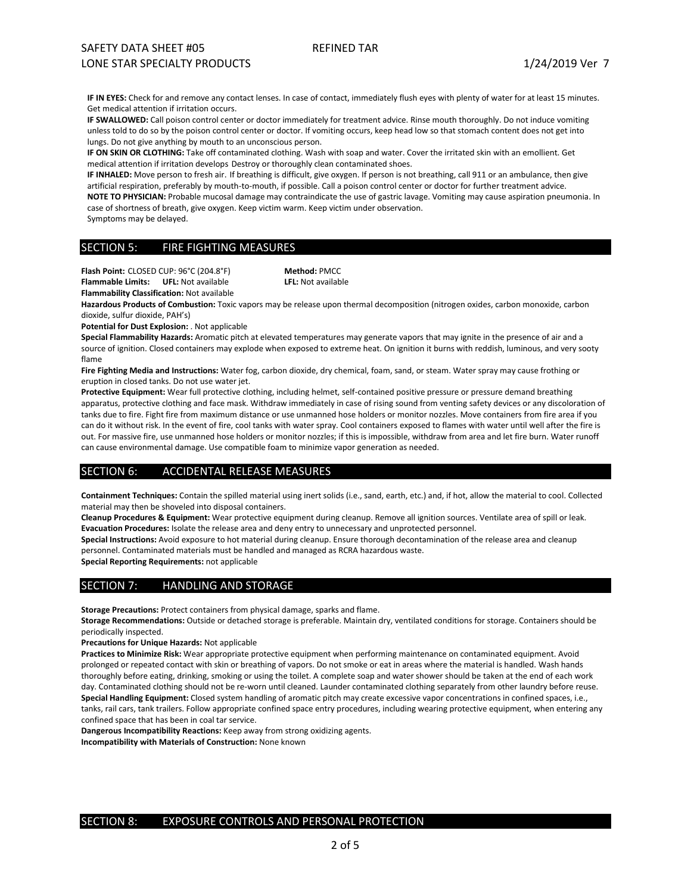IF IN EYES: Check for and remove any contact lenses. In case of contact, immediately flush eyes with plenty of water for at least 15 minutes. Get medical attention if irritation occurs.

**IF SWALLOWED:** Call poison control center or doctor immediately for treatment advice. Rinse mouth thoroughly. Do not induce vomiting unless told to do so by the poison control center or doctor. If vomiting occurs, keep head low so that stomach content does not get into lungs. Do not give anything by mouth to an unconscious person.

**IF ON SKIN OR CLOTHING:** Take off contaminated clothing. Wash with soap and water. Cover the irritated skin with an emollient. Get medical attention if irritation develops Destroy or thoroughly clean contaminated shoes.

**IF INHALED:** Move person to fresh air. If breathing is difficult, give oxygen. If person is not breathing, call 911 or an ambulance, then give artificial respiration, preferably by mouth-to-mouth, if possible. Call a poison control center or doctor for further treatment advice. **NOTE TO PHYSICIAN:** Probable mucosal damage may contraindicate the use of gastric lavage. Vomiting may cause aspiration pneumonia. In case of shortness of breath, give oxygen. Keep victim warm. Keep victim under observation.

Symptoms may be delayed.

#### SECTION 5: FIRE FIGHTING MEASURES

**Flash Point:** CLOSED CUP: 96°C (204.8°F) **Method:** PMCC **Flammability Classification:** Not available

**Flammable Limits: UFL:** Not available **LFL:** Not available

**Hazardous Products of Combustion:** Toxic vapors may be release upon thermal decomposition (nitrogen oxides, carbon monoxide, carbon dioxide, sulfur dioxide, PAH's)

**Potential for Dust Explosion:** . Not applicable

**Special Flammability Hazards:** Aromatic pitch at elevated temperatures may generate vapors that may ignite in the presence of air and a source of ignition. Closed containers may explode when exposed to extreme heat. On ignition it burns with reddish, luminous, and very sooty flame

**Fire Fighting Media and Instructions:** Water fog, carbon dioxide, dry chemical, foam, sand, or steam. Water spray may cause frothing or eruption in closed tanks. Do not use water jet.

**Protective Equipment:** Wear full protective clothing, including helmet, self-contained positive pressure or pressure demand breathing apparatus, protective clothing and face mask. Withdraw immediately in case of rising sound from venting safety devices or any discoloration of tanks due to fire. Fight fire from maximum distance or use unmanned hose holders or monitor nozzles. Move containers from fire area if you can do it without risk. In the event of fire, cool tanks with water spray. Cool containers exposed to flames with water until well after the fire is out. For massive fire, use unmanned hose holders or monitor nozzles; if this is impossible, withdraw from area and let fire burn. Water runoff can cause environmental damage. Use compatible foam to minimize vapor generation as needed.

#### SECTION 6: ACCIDENTAL RELEASE MEASURES

**Containment Techniques:** Contain the spilled material using inert solids (i.e., sand, earth, etc.) and, if hot, allow the material to cool. Collected material may then be shoveled into disposal containers.

**Cleanup Procedures & Equipment:** Wear protective equipment during cleanup. Remove all ignition sources. Ventilate area of spill or leak. **Evacuation Procedures:** Isolate the release area and deny entry to unnecessary and unprotected personnel.

**Special Instructions:** Avoid exposure to hot material during cleanup. Ensure thorough decontamination of the release area and cleanup personnel. Contaminated materials must be handled and managed as RCRA hazardous waste.

**Special Reporting Requirements:** not applicable

#### SECTION 7: HANDLING AND STORAGE

**Storage Precautions:** Protect containers from physical damage, sparks and flame.

**Storage Recommendations:** Outside or detached storage is preferable. Maintain dry, ventilated conditions for storage. Containers should be periodically inspected.

**Precautions for Unique Hazards:** Not applicable

**Practices to Minimize Risk:** Wear appropriate protective equipment when performing maintenance on contaminated equipment. Avoid prolonged or repeated contact with skin or breathing of vapors. Do not smoke or eat in areas where the material is handled. Wash hands thoroughly before eating, drinking, smoking or using the toilet. A complete soap and water shower should be taken at the end of each work day. Contaminated clothing should not be re-worn until cleaned. Launder contaminated clothing separately from other laundry before reuse. **Special Handling Equipment:** Closed system handling of aromatic pitch may create excessive vapor concentrations in confined spaces, i.e., tanks, rail cars, tank trailers. Follow appropriate confined space entry procedures, including wearing protective equipment, when entering any confined space that has been in coal tar service.

**Dangerous Incompatibility Reactions:** Keep away from strong oxidizing agents. **Incompatibility with Materials of Construction:** None known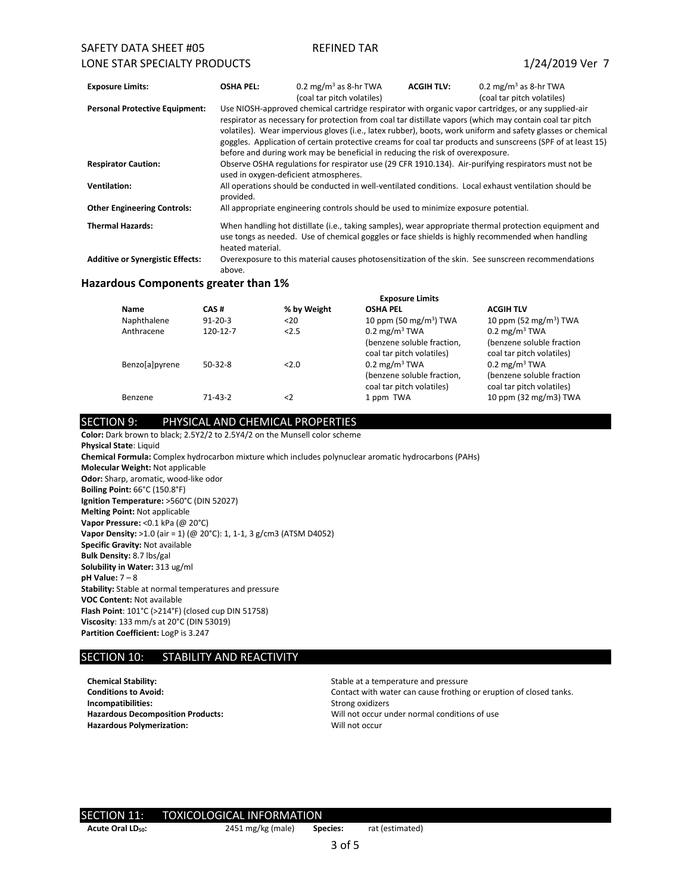## SAFETY DATA SHEET #05 REFINED TAR LONE STAR SPECIALTY PRODUCTS 1/24/2019 Ver 7

| <b>Exposure Limits:</b>                 | <b>OSHA PEL:</b>                                                                                                                                                                                                               | 0.2 mg/m <sup>3</sup> as 8-hr TWA                                                   | <b>ACGIH TLV:</b> | 0.2 mg/m <sup>3</sup> as 8-hr TWA                                                                           |  |
|-----------------------------------------|--------------------------------------------------------------------------------------------------------------------------------------------------------------------------------------------------------------------------------|-------------------------------------------------------------------------------------|-------------------|-------------------------------------------------------------------------------------------------------------|--|
|                                         |                                                                                                                                                                                                                                | (coal tar pitch volatiles)                                                          |                   | (coal tar pitch volatiles)                                                                                  |  |
| <b>Personal Protective Equipment:</b>   |                                                                                                                                                                                                                                |                                                                                     |                   | Use NIOSH-approved chemical cartridge respirator with organic vapor cartridges, or any supplied-air         |  |
|                                         |                                                                                                                                                                                                                                |                                                                                     |                   | respirator as necessary for protection from coal tar distillate vapors (which may contain coal tar pitch    |  |
|                                         | volatiles). Wear impervious gloves (i.e., latex rubber), boots, work uniform and safety glasses or chemical                                                                                                                    |                                                                                     |                   |                                                                                                             |  |
|                                         |                                                                                                                                                                                                                                |                                                                                     |                   | goggles. Application of certain protective creams for coal tar products and sunscreens (SPF of at least 15) |  |
|                                         | before and during work may be beneficial in reducing the risk of overexposure.                                                                                                                                                 |                                                                                     |                   |                                                                                                             |  |
| <b>Respirator Caution:</b>              | Observe OSHA regulations for respirator use (29 CFR 1910.134). Air-purifying respirators must not be<br>used in oxygen-deficient atmospheres.                                                                                  |                                                                                     |                   |                                                                                                             |  |
| <b>Ventilation:</b>                     | provided.                                                                                                                                                                                                                      |                                                                                     |                   | All operations should be conducted in well-ventilated conditions. Local exhaust ventilation should be       |  |
| <b>Other Engineering Controls:</b>      |                                                                                                                                                                                                                                | All appropriate engineering controls should be used to minimize exposure potential. |                   |                                                                                                             |  |
| <b>Thermal Hazards:</b>                 | When handling hot distillate (i.e., taking samples), wear appropriate thermal protection equipment and<br>use tongs as needed. Use of chemical goggles or face shields is highly recommended when handling<br>heated material. |                                                                                     |                   |                                                                                                             |  |
| <b>Additive or Synergistic Effects:</b> | above.                                                                                                                                                                                                                         |                                                                                     |                   | Overexposure to this material causes photosensitization of the skin. See sunscreen recommendations          |  |

#### **Hazardous Components greater than 1%**

|                |               |             | <b>Exposure Limits</b>                                                              |                                                                                    |
|----------------|---------------|-------------|-------------------------------------------------------------------------------------|------------------------------------------------------------------------------------|
| <b>Name</b>    | CAS#          | % by Weight | <b>OSHA PEL</b>                                                                     | <b>ACGIH TLV</b>                                                                   |
| Naphthalene    | $91 - 20 - 3$ | $20$        | 10 ppm (50 mg/m <sup>3</sup> ) TWA                                                  | 10 ppm (52 mg/m <sup>3</sup> ) TWA                                                 |
| Anthracene     | 120-12-7      | 2.5         | $0.2 \text{ mg/m}^3$ TWA<br>(benzene soluble fraction,<br>coal tar pitch volatiles) | $0.2 \text{ mg/m}^3$ TWA<br>(benzene soluble fraction<br>coal tar pitch volatiles) |
| Benzo[a]pyrene | $50-32-8$     | 2.0         | $0.2 \text{ mg/m}^3$ TWA<br>(benzene soluble fraction,<br>coal tar pitch volatiles) | $0.2 \text{ mg/m}^3$ TWA<br>(benzene soluble fraction<br>coal tar pitch volatiles) |
| Benzene        | $71 - 43 - 2$ | $\langle$ 2 | 1 ppm TWA                                                                           | 10 ppm (32 mg/m3) TWA                                                              |

## SECTION 9: PHYSICAL AND CHEMICAL PROPERTIES

**Color:** Dark brown to black; 2.5Y2/2 to 2.5Y4/2 on the Munsell color scheme **Physical State**: Liquid **Chemical Formula:** Complex hydrocarbon mixture which includes polynuclear aromatic hydrocarbons (PAHs) **Molecular Weight:** Not applicable **Odor:** Sharp, aromatic, wood-like odor **Boiling Point:** 66°C (150.8°F) **Ignition Temperature:** >560°C (DIN 52027) **Melting Point:** Not applicable **Vapor Pressure:** <0.1 kPa (@ 20°C) **Vapor Density:** >1.0 (air = 1) (@ 20°C): 1, 1-1, 3 g/cm3 (ATSM D4052) **Specific Gravity:** Not available **Bulk Density:** 8.7 lbs/gal **Solubility in Water:** 313 ug/ml **pH Value:** 7 – 8 **Stability:** Stable at normal temperatures and pressure **VOC Content:** Not available **Flash Point**: 101°C (>214°F) (closed cup DIN 51758) **Viscosity**: 133 mm/s at 20°C (DIN 53019) **Partition Coefficient:** LogP is 3.247

## SECTION 10: STABILITY AND REACTIVITY

**Chemical Stability:** Stable at a temperature and pressure<br> **Conditions to Avoid:** Stable at a temperature and pressure<br>
Contact with water can cause frothing **Incompatibilities:** Strong oxidizers Hazardous Polymerization: Will not occur

Contact with water can cause frothing or eruption of closed tanks. **Hazardous Decomposition Products:** Will not occur under normal conditions of use

# SECTION 11: TOXICOLOGICAL INFORMATION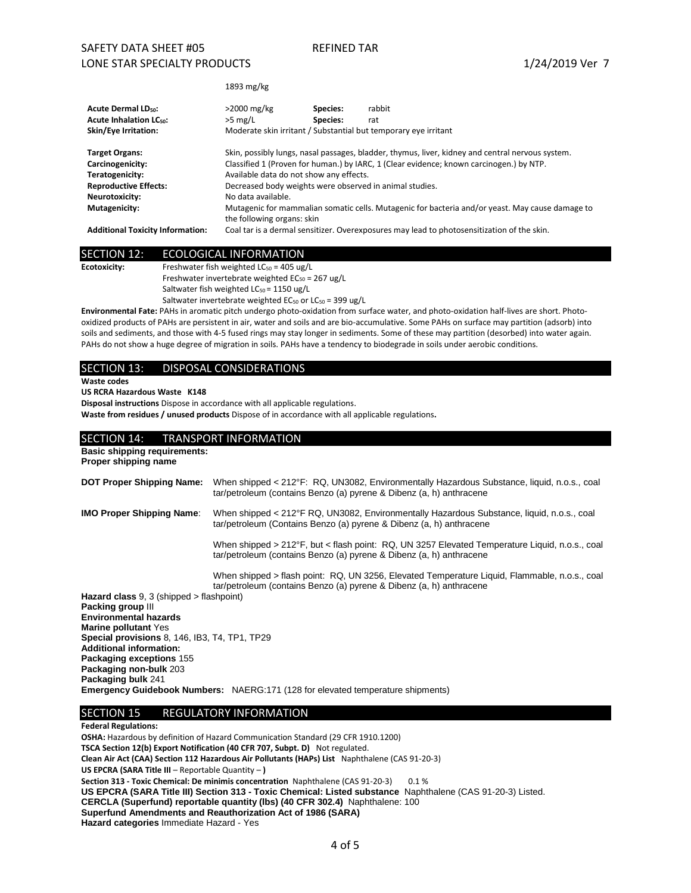1893 mg/kg

| <b>Acute Dermal LDso:</b><br><b>Acute Inhalation LC<sub>50</sub>:</b><br>Skin/Eye Irritation:                                   | $>2000$ mg/kg<br>$>5$ mg/L                                                                                                                                                                                                                                                                                                                                                                                                 | Species:<br>Species: | rabbit<br>rat<br>Moderate skin irritant / Substantial but temporary eye irritant           |
|---------------------------------------------------------------------------------------------------------------------------------|----------------------------------------------------------------------------------------------------------------------------------------------------------------------------------------------------------------------------------------------------------------------------------------------------------------------------------------------------------------------------------------------------------------------------|----------------------|--------------------------------------------------------------------------------------------|
| <b>Target Organs:</b><br>Carcinogenicity:<br>Teratogenicity:<br><b>Reproductive Effects:</b><br>Neurotoxicity:<br>Mutagenicity: | Skin, possibly lungs, nasal passages, bladder, thymus, liver, kidney and central nervous system.<br>Classified 1 (Proven for human.) by IARC, 1 (Clear evidence; known carcinogen.) by NTP.<br>Available data do not show any effects.<br>Decreased body weights were observed in animal studies.<br>No data available.<br>Mutagenic for mammalian somatic cells. Mutagenic for bacteria and/or yeast. May cause damage to |                      |                                                                                            |
| <b>Additional Toxicity Information:</b>                                                                                         | the following organs: skin                                                                                                                                                                                                                                                                                                                                                                                                 |                      | Coal tar is a dermal sensitizer. Overexposures may lead to photosensitization of the skin. |

## SECTION 12: ECOLOGICAL INFORMATION

**Ecotoxicity:** Freshwater fish weighted LC<sub>50</sub> = 405 ug/L Freshwater invertebrate weighted  $EC_{50} = 267$  ug/L Saltwater fish weighted  $LC_{50} = 1150 \text{ ug/L}$ Saltwater invertebrate weighted  $EC_{50}$  or  $LC_{50}$  = 399 ug/L

**Environmental Fate:** PAHs in aromatic pitch undergo photo-oxidation from surface water, and photo-oxidation half-lives are short. Photooxidized products of PAHs are persistent in air, water and soils and are bio-accumulative. Some PAHs on surface may partition (adsorb) into soils and sediments, and those with 4-5 fused rings may stay longer in sediments. Some of these may partition (desorbed) into water again. PAHs do not show a huge degree of migration in soils. PAHs have a tendency to biodegrade in soils under aerobic conditions.

#### SECTION 13: DISPOSAL CONSIDERATIONS

**Waste codes**

#### **US RCRA Hazardous Waste K148**

**Disposal instructions** Dispose in accordance with all applicable regulations.

**Waste from residues / unused products** Dispose of in accordance with all applicable regulations**.**

#### SECTION 14: TRANSPORT INFORMATION

**Basic shipping requirements: Proper shipping name**

| DOT Proper Shipping Name: When shipped < 212°F: RQ, UN3082, Environmentally Hazardous Substance, liquid, n.o.s., coal |  |
|-----------------------------------------------------------------------------------------------------------------------|--|
| tar/petroleum (contains Benzo (a) pyrene & Dibenz (a, h) anthracene                                                   |  |
|                                                                                                                       |  |

#### **IMO Proper Shipping Name**: When shipped < 212°F RQ, UN3082, Environmentally Hazardous Substance, liquid, n.o.s., coal tar/petroleum (Contains Benzo (a) pyrene & Dibenz (a, h) anthracene

When shipped > 212°F, but < flash point: RQ, UN 3257 Elevated Temperature Liquid, n.o.s., coal tar/petroleum (contains Benzo (a) pyrene & Dibenz (a, h) anthracene

When shipped > flash point: RQ, UN 3256, Elevated Temperature Liquid, Flammable, n.o.s., coal tar/petroleum (contains Benzo (a) pyrene & Dibenz (a, h) anthracene

**Hazard class** 9, 3 (shipped > flashpoint) **Packing group** III **Environmental hazards Marine pollutant** Yes **Special provisions** 8, 146, IB3, T4, TP1, TP29 **Additional information: Packaging exceptions** 155 **Packaging non-bulk** 203 **Packaging bulk** 241 **Emergency Guidebook Numbers:** NAERG:171 (128 for elevated temperature shipments)

#### SECTION 15 REGULATORY INFORMATION

**Federal Regulations: OSHA:** Hazardous by definition of Hazard Communication Standard (29 CFR 1910.1200) **TSCA Section 12(b) Export Notification (40 CFR 707, Subpt. D)** Not regulated. **Clean Air Act (CAA) Section 112 Hazardous Air Pollutants (HAPs) List** Naphthalene (CAS 91-20-3) **US EPCRA (SARA Title III** – Reportable Quantity – **) Section 313 - Toxic Chemical: De minimis concentration** Naphthalene (CAS 91-20-3) 0.1 % **US EPCRA (SARA Title III) Section 313 - Toxic Chemical: Listed substance** Naphthalene (CAS 91-20-3) Listed. **CERCLA (Superfund) reportable quantity (lbs) (40 CFR 302.4)** Naphthalene: 100 **Superfund Amendments and Reauthorization Act of 1986 (SARA) Hazard categories** Immediate Hazard - Yes